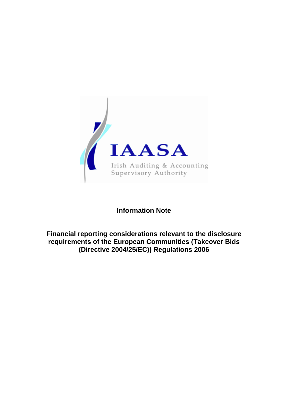

# **Information Note**

## **Financial reporting considerations relevant to the disclosure requirements of the European Communities (Takeover Bids (Directive 2004/25/EC)) Regulations 2006**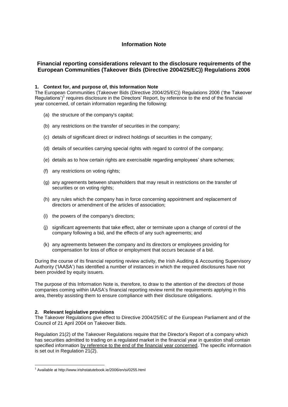## **Information Note**

### **Financial reporting considerations relevant to the disclosure requirements of the European Communities (Takeover Bids (Directive 2004/25/EC)) Regulations 2006**

#### **1. Context for, and purpose of, this Information Note**

The European Communities (Takeover Bids (Directive 2004/25/EC)) Regulations 2006 ('the Takeover Regulations')<sup>1</sup> requires disclosure in the Directors' Report, by reference to the end of the financial year concerned, of certain information regarding the following:

- (a) the structure of the company's capital;
- (b) any restrictions on the transfer of securities in the company;
- (c) details of significant direct or indirect holdings of securities in the company;
- (d) details of securities carrying special rights with regard to control of the company;
- (e) details as to how certain rights are exercisable regarding employees' share schemes;
- (f) any restrictions on voting rights;
- (g) any agreements between shareholders that may result in restrictions on the transfer of securities or on voting rights;
- (h) any rules which the company has in force concerning appointment and replacement of directors or amendment of the articles of association;
- (i) the powers of the company's directors;
- (j) significant agreements that take effect, alter or terminate upon a change of control of the company following a bid, and the effects of any such agreements; and
- (k) any agreements between the company and its directors or employees providing for compensation for loss of office or employment that occurs because of a bid.

During the course of its financial reporting review activity, the Irish Auditing & Accounting Supervisory Authority ('IAASA') has identified a number of instances in which the required disclosures have not been provided by equity issuers.

The purpose of this Information Note is, therefore, to draw to the attention of the directors of those companies coming within IAASA's financial reporting review remit the requirements applying in this area, thereby assisting them to ensure compliance with their disclosure obligations.

#### **2. Relevant legislative provisions**

**.** 

The Takeover Regulations give effect to Directive 2004/25/EC of the European Parliament and of the Council of 21 April 2004 on Takeover Bids.

Regulation 21(2) of the Takeover Regulations require that the Director's Report of a company which has securities admitted to trading on a regulated market in the financial year in question shall contain specified information by reference to the end of the financial year concerned. The specific information is set out in Regulation 21(2).

<sup>1</sup> Available at http://www.irishstatutebook.ie/2006/en/si/0255.html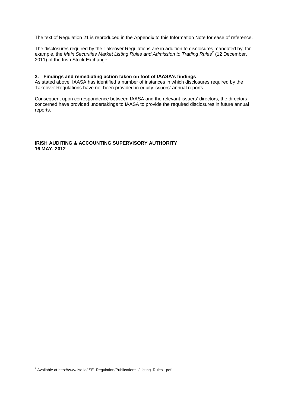The text of Regulation 21 is reproduced in the Appendix to this Information Note for ease of reference.

The disclosures required by the Takeover Regulations are in addition to disclosures mandated by, for example, the Main Securities Market Listing Rules and Admission to Trading Rules<sup>2</sup> (12 December, 2011) of the Irish Stock Exchange.

#### **3. Findings and remediating action taken on foot of IAASA's findings**

As stated above, IAASA has identified a number of instances in which disclosures required by the Takeover Regulations have not been provided in equity issuers' annual reports.

Consequent upon correspondence between IAASA and the relevant issuers' directors, the directors concerned have provided undertakings to IAASA to provide the required disclosures in future annual reports.

#### **IRISH AUDITING & ACCOUNTING SUPERVISORY AUTHORITY 16 MAY, 2012**

**.** 

 $^2$  Available at http://www.ise.ie/ISE\_Regulation/Publications\_/Listing\_Rules\_.pdf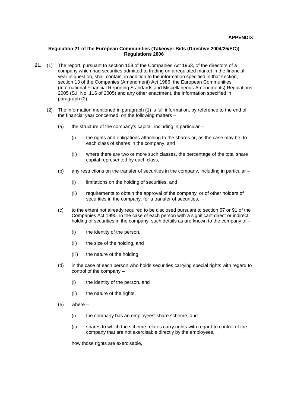#### **Regulation 21 of the European Communities (Takeover Bids (Directive 2004/25/EC)) Regulations 2006**

- **21.** (1) The report, pursuant to section 158 of the Companies Act 1963, of the directors of a company which had securities admitted to trading on a regulated market in the financial year in question, shall contain, in addition to the information specified in that section, section 13 of the Companies (Amendment) Act 1986, the European Communities (International Financial Reporting Standards and Miscellaneous Amendments) Regulations 2005 (S.I. No. 116 of 2005) and any other enactment, the information specified in paragraph (2).
	- (2) The information mentioned in paragraph (1) is full information, by reference to the end of the financial year concerned, on the following matters –
		- (a) the structure of the company's capital, including in particular  $-$ 
			- (i) the rights and obligations attaching to the shares or, as the case may be, to each class of shares in the company, and
			- (ii) where there are two or more such classes, the percentage of the total share capital represented by each class,
		- (b) any restrictions on the transfer of securities in the company, including in particular
			- (i) limitations on the holding of securities, and
			- (ii) requirements to obtain the approval of the company, or of other holders of securities in the company, for a transfer of securities,
		- (c) to the extent not already required to be disclosed pursuant to section 67 or 91 of the Companies Act 1990, in the case of each person with a significant direct or indirect holding of securities in the company, such details as are known to the company of –
			- (i) the identity of the person,
			- (ii) the size of the holding, and
			- (iii) the nature of the holding,
		- (d) in the case of each person who holds securities carrying special rights with regard to control of the company –
			- (i) the identity of the person, and
			- (ii) the nature of the rights,
		- (e) where
			- (i) the company has an employees' share scheme, and
			- (ii) shares to which the scheme relates carry rights with regard to control of the company that are not exercisable directly by the employees,

how those rights are exercisable,